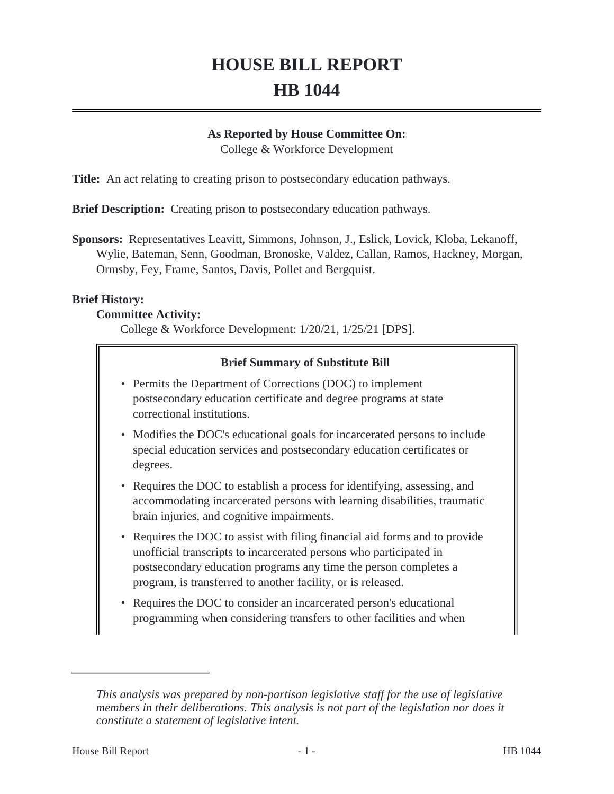# **HOUSE BILL REPORT HB 1044**

#### **As Reported by House Committee On:**

College & Workforce Development

**Title:** An act relating to creating prison to postsecondary education pathways.

**Brief Description:** Creating prison to postsecondary education pathways.

**Sponsors:** Representatives Leavitt, Simmons, Johnson, J., Eslick, Lovick, Kloba, Lekanoff, Wylie, Bateman, Senn, Goodman, Bronoske, Valdez, Callan, Ramos, Hackney, Morgan, Ormsby, Fey, Frame, Santos, Davis, Pollet and Bergquist.

## **Brief History:**

#### **Committee Activity:**

College & Workforce Development: 1/20/21, 1/25/21 [DPS].

## **Brief Summary of Substitute Bill**

- Permits the Department of Corrections (DOC) to implement postsecondary education certificate and degree programs at state correctional institutions.
- Modifies the DOC's educational goals for incarcerated persons to include special education services and postsecondary education certificates or degrees.
- Requires the DOC to establish a process for identifying, assessing, and accommodating incarcerated persons with learning disabilities, traumatic brain injuries, and cognitive impairments.
- Requires the DOC to assist with filing financial aid forms and to provide unofficial transcripts to incarcerated persons who participated in postsecondary education programs any time the person completes a program, is transferred to another facility, or is released.
- Requires the DOC to consider an incarcerated person's educational programming when considering transfers to other facilities and when

*This analysis was prepared by non-partisan legislative staff for the use of legislative members in their deliberations. This analysis is not part of the legislation nor does it constitute a statement of legislative intent.*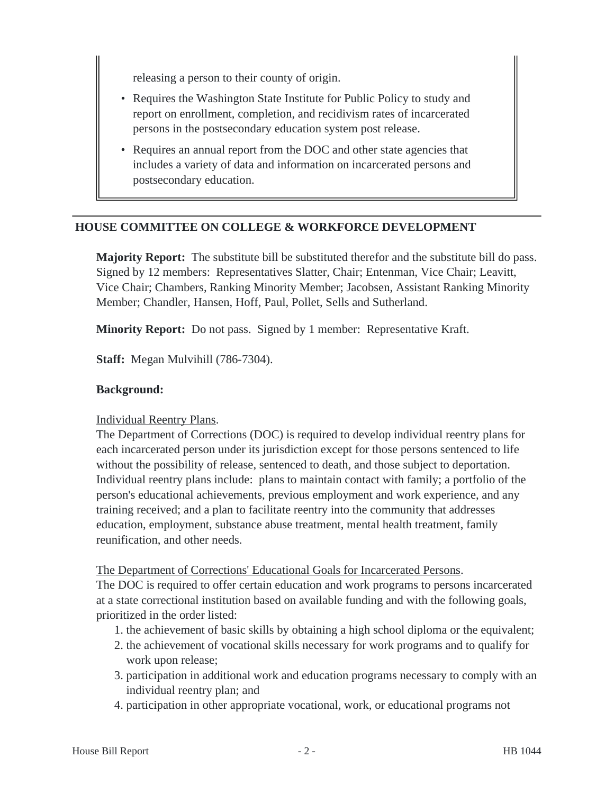releasing a person to their county of origin.

- Requires the Washington State Institute for Public Policy to study and report on enrollment, completion, and recidivism rates of incarcerated persons in the postsecondary education system post release.
- Requires an annual report from the DOC and other state agencies that includes a variety of data and information on incarcerated persons and postsecondary education.

## **HOUSE COMMITTEE ON COLLEGE & WORKFORCE DEVELOPMENT**

**Majority Report:** The substitute bill be substituted therefor and the substitute bill do pass. Signed by 12 members: Representatives Slatter, Chair; Entenman, Vice Chair; Leavitt, Vice Chair; Chambers, Ranking Minority Member; Jacobsen, Assistant Ranking Minority Member; Chandler, Hansen, Hoff, Paul, Pollet, Sells and Sutherland.

**Minority Report:** Do not pass. Signed by 1 member: Representative Kraft.

**Staff:** Megan Mulvihill (786-7304).

#### **Background:**

#### Individual Reentry Plans.

The Department of Corrections (DOC) is required to develop individual reentry plans for each incarcerated person under its jurisdiction except for those persons sentenced to life without the possibility of release, sentenced to death, and those subject to deportation. Individual reentry plans include: plans to maintain contact with family; a portfolio of the person's educational achievements, previous employment and work experience, and any training received; and a plan to facilitate reentry into the community that addresses education, employment, substance abuse treatment, mental health treatment, family reunification, and other needs.

#### The Department of Corrections' Educational Goals for Incarcerated Persons.

The DOC is required to offer certain education and work programs to persons incarcerated at a state correctional institution based on available funding and with the following goals, prioritized in the order listed:

- 1. the achievement of basic skills by obtaining a high school diploma or the equivalent;
- 2. the achievement of vocational skills necessary for work programs and to qualify for work upon release;
- 3. participation in additional work and education programs necessary to comply with an individual reentry plan; and
- 4. participation in other appropriate vocational, work, or educational programs not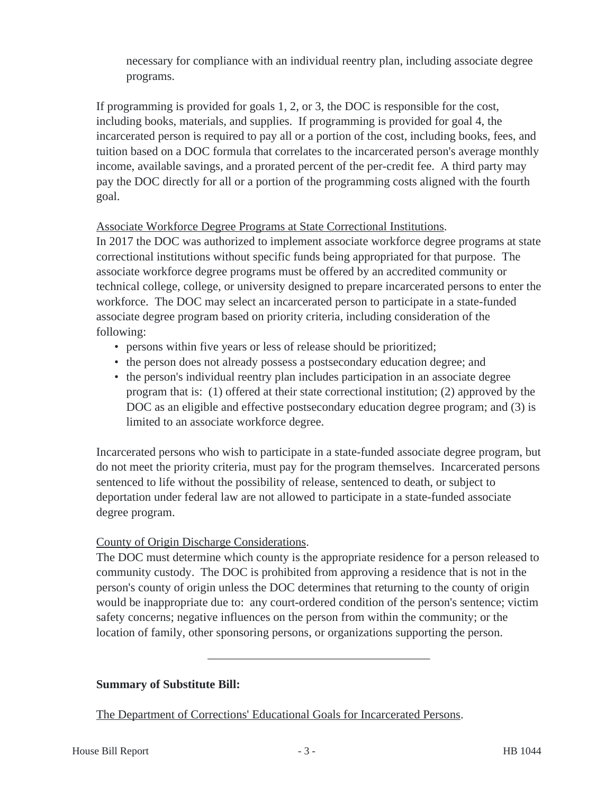necessary for compliance with an individual reentry plan, including associate degree programs.

If programming is provided for goals 1, 2, or 3, the DOC is responsible for the cost, including books, materials, and supplies. If programming is provided for goal 4, the incarcerated person is required to pay all or a portion of the cost, including books, fees, and tuition based on a DOC formula that correlates to the incarcerated person's average monthly income, available savings, and a prorated percent of the per-credit fee. A third party may pay the DOC directly for all or a portion of the programming costs aligned with the fourth goal.

# Associate Workforce Degree Programs at State Correctional Institutions.

In 2017 the DOC was authorized to implement associate workforce degree programs at state correctional institutions without specific funds being appropriated for that purpose. The associate workforce degree programs must be offered by an accredited community or technical college, college, or university designed to prepare incarcerated persons to enter the workforce. The DOC may select an incarcerated person to participate in a state-funded associate degree program based on priority criteria, including consideration of the following:

- persons within five years or less of release should be prioritized;
- the person does not already possess a postsecondary education degree; and
- the person's individual reentry plan includes participation in an associate degree program that is: (1) offered at their state correctional institution; (2) approved by the DOC as an eligible and effective postsecondary education degree program; and (3) is limited to an associate workforce degree.

Incarcerated persons who wish to participate in a state-funded associate degree program, but do not meet the priority criteria, must pay for the program themselves. Incarcerated persons sentenced to life without the possibility of release, sentenced to death, or subject to deportation under federal law are not allowed to participate in a state-funded associate degree program.

## County of Origin Discharge Considerations.

The DOC must determine which county is the appropriate residence for a person released to community custody. The DOC is prohibited from approving a residence that is not in the person's county of origin unless the DOC determines that returning to the county of origin would be inappropriate due to: any court-ordered condition of the person's sentence; victim safety concerns; negative influences on the person from within the community; or the location of family, other sponsoring persons, or organizations supporting the person.

## **Summary of Substitute Bill:**

The Department of Corrections' Educational Goals for Incarcerated Persons.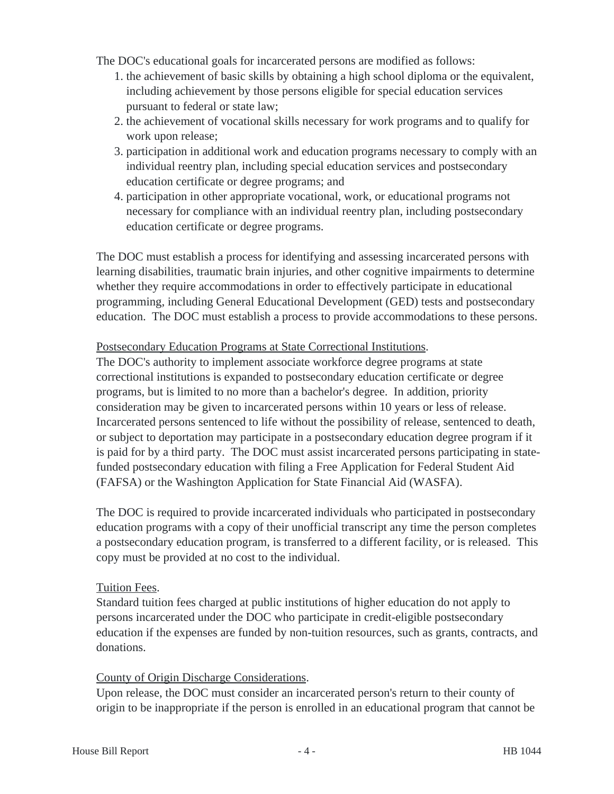The DOC's educational goals for incarcerated persons are modified as follows:

- 1. the achievement of basic skills by obtaining a high school diploma or the equivalent, including achievement by those persons eligible for special education services pursuant to federal or state law;
- 2. the achievement of vocational skills necessary for work programs and to qualify for work upon release;
- 3. participation in additional work and education programs necessary to comply with an individual reentry plan, including special education services and postsecondary education certificate or degree programs; and
- 4. participation in other appropriate vocational, work, or educational programs not necessary for compliance with an individual reentry plan, including postsecondary education certificate or degree programs.

The DOC must establish a process for identifying and assessing incarcerated persons with learning disabilities, traumatic brain injuries, and other cognitive impairments to determine whether they require accommodations in order to effectively participate in educational programming, including General Educational Development (GED) tests and postsecondary education. The DOC must establish a process to provide accommodations to these persons.

## Postsecondary Education Programs at State Correctional Institutions.

The DOC's authority to implement associate workforce degree programs at state correctional institutions is expanded to postsecondary education certificate or degree programs, but is limited to no more than a bachelor's degree. In addition, priority consideration may be given to incarcerated persons within 10 years or less of release. Incarcerated persons sentenced to life without the possibility of release, sentenced to death, or subject to deportation may participate in a postsecondary education degree program if it is paid for by a third party. The DOC must assist incarcerated persons participating in statefunded postsecondary education with filing a Free Application for Federal Student Aid (FAFSA) or the Washington Application for State Financial Aid (WASFA).

The DOC is required to provide incarcerated individuals who participated in postsecondary education programs with a copy of their unofficial transcript any time the person completes a postsecondary education program, is transferred to a different facility, or is released. This copy must be provided at no cost to the individual.

## Tuition Fees.

Standard tuition fees charged at public institutions of higher education do not apply to persons incarcerated under the DOC who participate in credit-eligible postsecondary education if the expenses are funded by non-tuition resources, such as grants, contracts, and donations.

#### County of Origin Discharge Considerations.

Upon release, the DOC must consider an incarcerated person's return to their county of origin to be inappropriate if the person is enrolled in an educational program that cannot be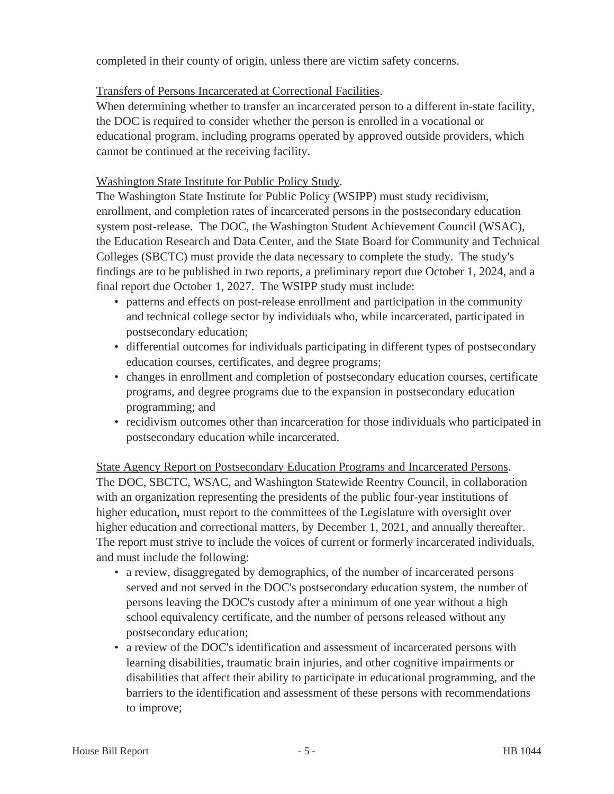completed in their county of origin, unless there are victim safety concerns.

## Transfers of Persons Incarcerated at Correctional Facilities.

When determining whether to transfer an incarcerated person to a different in-state facility, the DOC is required to consider whether the person is enrolled in a vocational or educational program, including programs operated by approved outside providers, which cannot be continued at the receiving facility.

# Washington State Institute for Public Policy Study.

The Washington State Institute for Public Policy (WSIPP) must study recidivism, enrollment, and completion rates of incarcerated persons in the postsecondary education system post-release. The DOC, the Washington Student Achievement Council (WSAC), the Education Research and Data Center, and the State Board for Community and Technical Colleges (SBCTC) must provide the data necessary to complete the study. The study's findings are to be published in two reports, a preliminary report due October 1, 2024, and a final report due October 1, 2027. The WSIPP study must include:

- patterns and effects on post-release enrollment and participation in the community and technical college sector by individuals who, while incarcerated, participated in postsecondary education;
- differential outcomes for individuals participating in different types of postsecondary education courses, certificates, and degree programs;
- changes in enrollment and completion of postsecondary education courses, certificate programs, and degree programs due to the expansion in postsecondary education programming; and
- recidivism outcomes other than incarceration for those individuals who participated in postsecondary education while incarcerated.

State Agency Report on Postsecondary Education Programs and Incarcerated Persons. The DOC, SBCTC, WSAC, and Washington Statewide Reentry Council, in collaboration with an organization representing the presidents of the public four-year institutions of higher education, must report to the committees of the Legislature with oversight over higher education and correctional matters, by December 1, 2021, and annually thereafter. The report must strive to include the voices of current or formerly incarcerated individuals, and must include the following:

- a review, disaggregated by demographics, of the number of incarcerated persons served and not served in the DOC's postsecondary education system, the number of persons leaving the DOC's custody after a minimum of one year without a high school equivalency certificate, and the number of persons released without any postsecondary education;
- a review of the DOC's identification and assessment of incarcerated persons with learning disabilities, traumatic brain injuries, and other cognitive impairments or disabilities that affect their ability to participate in educational programming, and the barriers to the identification and assessment of these persons with recommendations to improve;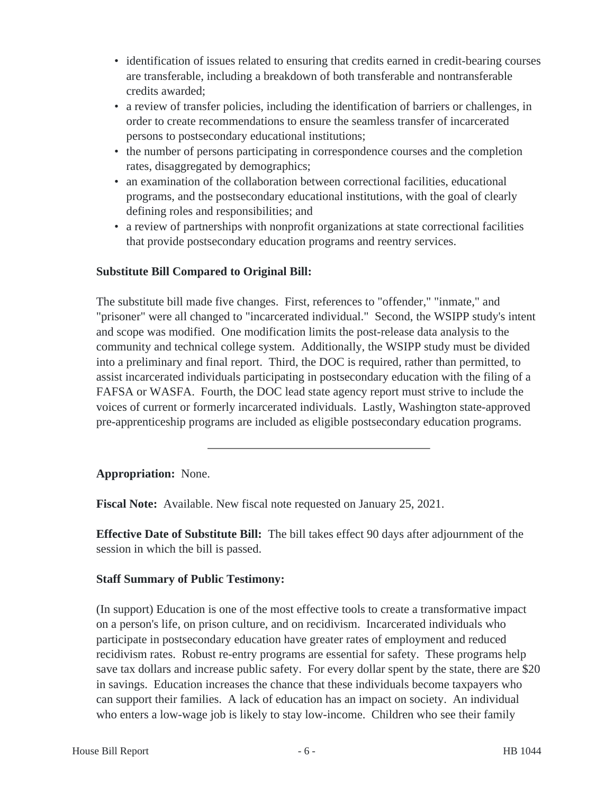- identification of issues related to ensuring that credits earned in credit-bearing courses are transferable, including a breakdown of both transferable and nontransferable credits awarded;
- a review of transfer policies, including the identification of barriers or challenges, in order to create recommendations to ensure the seamless transfer of incarcerated persons to postsecondary educational institutions;
- the number of persons participating in correspondence courses and the completion rates, disaggregated by demographics;
- an examination of the collaboration between correctional facilities, educational programs, and the postsecondary educational institutions, with the goal of clearly defining roles and responsibilities; and
- a review of partnerships with nonprofit organizations at state correctional facilities that provide postsecondary education programs and reentry services.

# **Substitute Bill Compared to Original Bill:**

The substitute bill made five changes. First, references to "offender," "inmate," and "prisoner" were all changed to "incarcerated individual." Second, the WSIPP study's intent and scope was modified. One modification limits the post-release data analysis to the community and technical college system. Additionally, the WSIPP study must be divided into a preliminary and final report. Third, the DOC is required, rather than permitted, to assist incarcerated individuals participating in postsecondary education with the filing of a FAFSA or WASFA. Fourth, the DOC lead state agency report must strive to include the voices of current or formerly incarcerated individuals. Lastly, Washington state-approved pre-apprenticeship programs are included as eligible postsecondary education programs.

## **Appropriation:** None.

**Fiscal Note:** Available. New fiscal note requested on January 25, 2021.

**Effective Date of Substitute Bill:** The bill takes effect 90 days after adjournment of the session in which the bill is passed.

## **Staff Summary of Public Testimony:**

(In support) Education is one of the most effective tools to create a transformative impact on a person's life, on prison culture, and on recidivism. Incarcerated individuals who participate in postsecondary education have greater rates of employment and reduced recidivism rates. Robust re-entry programs are essential for safety. These programs help save tax dollars and increase public safety. For every dollar spent by the state, there are \$20 in savings. Education increases the chance that these individuals become taxpayers who can support their families. A lack of education has an impact on society. An individual who enters a low-wage job is likely to stay low-income. Children who see their family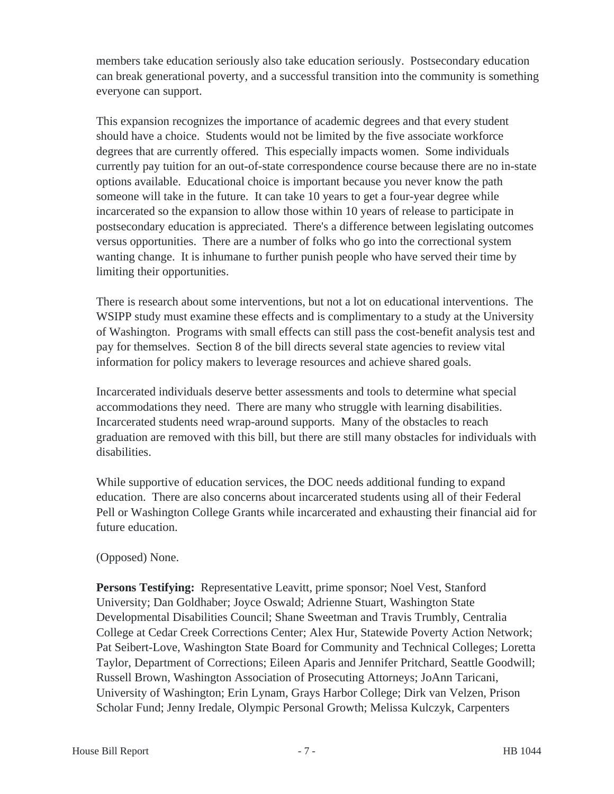members take education seriously also take education seriously. Postsecondary education can break generational poverty, and a successful transition into the community is something everyone can support.

This expansion recognizes the importance of academic degrees and that every student should have a choice. Students would not be limited by the five associate workforce degrees that are currently offered. This especially impacts women. Some individuals currently pay tuition for an out-of-state correspondence course because there are no in-state options available. Educational choice is important because you never know the path someone will take in the future. It can take 10 years to get a four-year degree while incarcerated so the expansion to allow those within 10 years of release to participate in postsecondary education is appreciated. There's a difference between legislating outcomes versus opportunities. There are a number of folks who go into the correctional system wanting change. It is inhumane to further punish people who have served their time by limiting their opportunities.

There is research about some interventions, but not a lot on educational interventions. The WSIPP study must examine these effects and is complimentary to a study at the University of Washington. Programs with small effects can still pass the cost-benefit analysis test and pay for themselves. Section 8 of the bill directs several state agencies to review vital information for policy makers to leverage resources and achieve shared goals.

Incarcerated individuals deserve better assessments and tools to determine what special accommodations they need. There are many who struggle with learning disabilities. Incarcerated students need wrap-around supports. Many of the obstacles to reach graduation are removed with this bill, but there are still many obstacles for individuals with disabilities.

While supportive of education services, the DOC needs additional funding to expand education. There are also concerns about incarcerated students using all of their Federal Pell or Washington College Grants while incarcerated and exhausting their financial aid for future education.

## (Opposed) None.

**Persons Testifying:** Representative Leavitt, prime sponsor; Noel Vest, Stanford University; Dan Goldhaber; Joyce Oswald; Adrienne Stuart, Washington State Developmental Disabilities Council; Shane Sweetman and Travis Trumbly, Centralia College at Cedar Creek Corrections Center; Alex Hur, Statewide Poverty Action Network; Pat Seibert-Love, Washington State Board for Community and Technical Colleges; Loretta Taylor, Department of Corrections; Eileen Aparis and Jennifer Pritchard, Seattle Goodwill; Russell Brown, Washington Association of Prosecuting Attorneys; JoAnn Taricani, University of Washington; Erin Lynam, Grays Harbor College; Dirk van Velzen, Prison Scholar Fund; Jenny Iredale, Olympic Personal Growth; Melissa Kulczyk, Carpenters